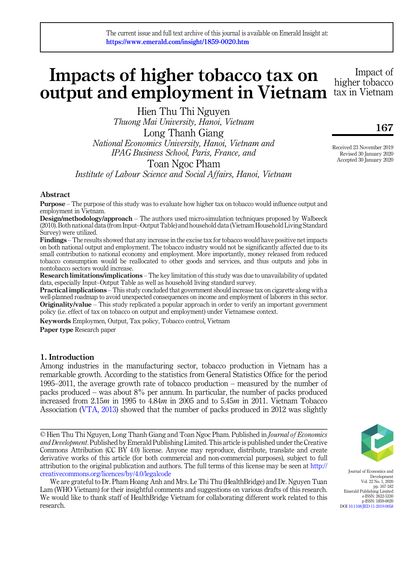# Impacts of higher tobacco tax on output and employment in Vietnam

Hien Thu Thi Nguyen Thuong Mai University, Hanoi, Vietnam Long Thanh Giang National Economics University, Hanoi, Vietnam and IPAG Business School, Paris, France, and Toan Ngoc Pham

Institute of Labour Science and Social Affairs, Hanoi, Vietnam

## Abstract

Purpose – The purpose of this study was to evaluate how higher tax on tobacco would influence output and employment in Vietnam.

Design/methodology/approach – The authors used micro-simulation techniques proposed by Walbeeck (2010). Both national data (from Input–Output Table) and household data (Vietnam Household Living Standard Survey) were utilized.

Findings – The results showed that any increase in the excise tax for tobacco would have positive net impacts on both national output and employment. The tobacco industry would not be significantly affected due to its small contribution to national economy and employment. More importantly, money released from reduced tobacco consumption would be reallocated to other goods and services, and thus outputs and jobs in nontobacco sectors would increase.

Research limitations/implications – The key limitation of this study was due to unavailability of updated data, especially Input–Output Table as well as household living standard survey.

Practical implications – This study concluded that government should increase tax on cigarette along with a well-planned roadmap to avoid unexpected consequences on income and employment of laborers in this sector. **Originality/value** – This study replicated a popular approach in order to verify an important government policy (i.e. effect of tax on tobacco on output and employment) under Vietnamese context.

Keywords Employmen, Output, Tax policy, Tobacco control, Vietnam

Paper type Research paper

## 1. Introduction

Among industries in the manufacturing sector, tobacco production in Vietnam has a remarkable growth. According to the statistics from General Statistics Office for the period 1995–2011, the average growth rate of tobacco production – measured by the number of packs produced – was about 8% per annum. In particular, the number of packs produced increased from 2.15m in 1995 to 4.84m in 2005 and to 5.45m in 2011. Vietnam Tobacco Association [\(VTA, 2013\)](#page-15-0) showed that the number of packs produced in 2012 was slightly

© Hien Thu Thi Nguyen, Long Thanh Giang and Toan Ngoc Pham. Published in Journal of Economics and Development. Published by Emerald Publishing Limited. This article is published under the Creative Commons Attribution (CC BY 4.0) license. Anyone may reproduce, distribute, translate and create derivative works of this article (for both commercial and non-commercial purposes), subject to full attribution to the original publication and authors. The full terms of this license may be seen at [http://](http://creativecommons.org/licences/by/4.0/legalcode) [creativecommons.org/licences/by/4.0/legalcode](http://creativecommons.org/licences/by/4.0/legalcode)

We are grateful to Dr. Pham Hoang Anh and Mrs. Le Thi Thu (HealthBridge) and Dr. Nguyen Tuan Lam (WHO Vietnam) for their insightful comments and suggestions on various drafts of this research. We would like to thank staff of HealthBridge Vietnam for collaborating different work related to this research.



Journal of Economics and Development Vol. 22 No. 1, 2020 pp. 167-182 Emerald Publishing Limited e-ISSN: 2632-5330 p-ISSN: 1859-0020 DOI [10.1108/JED-11-2019-0058](https://doi.org/10.1108/JED-11-2019-0058)

Received 23 November 2019 Revised 30 January 2020 Accepted 30 January 2020

Impact of higher tobacco tax in Vietnam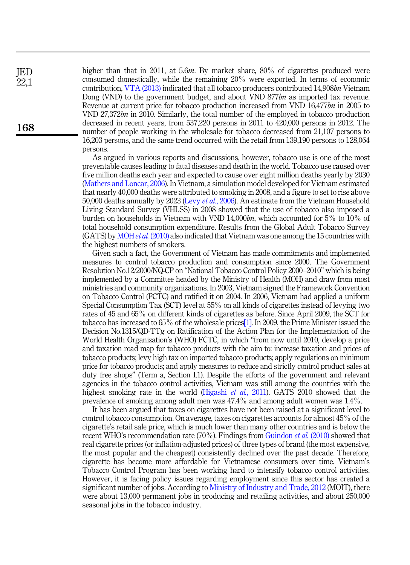higher than that in 2011, at 5.6m. By market share, 80% of cigarettes produced were consumed domestically, while the remaining 20% were exported. In terms of economic contribution, [VTA \(2013\)](#page-15-0) indicated that all tobacco producers contributed 14,908bn Vietnam Dong (VND) to the government budget, and about VND 877bn as imported tax revenue. Revenue at current price for tobacco production increased from VND 16,477bn in 2005 to VND 27,372bn in 2010. Similarly, the total number of the employed in tobacco production decreased in recent years, from 537,220 persons in 2011 to 420,000 persons in 2012. The number of people working in the wholesale for tobacco decreased from 21,107 persons to 16,203 persons, and the same trend occurred with the retail from 139,190 persons to 128,064 persons.

As argued in various reports and discussions, however, tobacco use is one of the most preventable causes leading to fatal diseases and death in the world. Tobacco use caused over five million deaths each year and expected to cause over eight million deaths yearly by 2030 ([Mathers and Loncar, 2006](#page-15-1)). In Vietnam, a simulation model developed for Vietnam estimated that nearly 40,000 deaths were attributed to smoking in 2008, and a figure to set to rise above 50,000 deaths annually by 2023 (Levy et al.[, 2006](#page-15-2)). An estimate from the Vietnam Household Living Standard Survey (VHLSS) in 2008 showed that the use of tobacco also imposed a burden on households in Vietnam with VND 14,000bn, which accounted for 5% to 10% of total household consumption expenditure. Results from the Global Adult Tobacco Survey (GATS) by MOHet al. [\(2010\)](#page-15-3) also indicated that Vietnam was one among the 15 countries with the highest numbers of smokers.

Given such a fact, the Government of Vietnam has made commitments and implemented measures to control tobacco production and consumption since 2000. The Government Resolution No.12/2000/NQ-CP on "National Tobacco Control Policy 2000–2010" which is being implemented by a Committee headed by the Ministry of Health (MOH) and draw from most ministries and community organizations. In 2003, Vietnam signed the Framework Convention on Tobacco Control (FCTC) and ratified it on 2004. In 2006, Vietnam had applied a uniform Special Consumption Tax (SCT) level at 55% on all kinds of cigarettes instead of levying two rates of 45 and 65% on different kinds of cigarettes as before. Since April 2009, the SCT for tobacco has increased to 65% of the wholesale prices[\[1\].](#page-14-0) In 2009, the Prime Minister issued the Decision No.1315/QÐ-TTg on Ratification of the Action Plan for the Implementation of the World Health Organization's (WHO) FCTC, in which "from now until 2010, develop a price and taxation road map for tobacco products with the aim to: increase taxation and prices of tobacco products; levy high tax on imported tobacco products; apply regulations on minimum price for tobacco products; and apply measures to reduce and strictly control product sales at duty free shops" (Term a, Section I.1). Despite the efforts of the government and relevant agencies in the tobacco control activities, Vietnam was still among the countries with the highest smoking rate in the world [\(Higashi](#page-14-1) et al., 2011). GATS 2010 showed that the prevalence of smoking among adult men was 47.4% and among adult women was 1.4%.

It has been argued that taxes on cigarettes have not been raised at a significant level to control tobacco consumption. On average, taxes on cigarettes accounts for almost 45% of the cigarette's retail sale price, which is much lower than many other countries and is below the recent WHO's recommendation rate (70%). Findings from [Guindon](#page-14-2) *et al.* (2010) showed that real cigarette prices (or inflation-adjusted prices) of three types of brand (the most expensive, the most popular and the cheapest) consistently declined over the past decade. Therefore, cigarette has become more affordable for Vietnamese consumers over time. Vietnam's Tobacco Control Program has been working hard to intensify tobacco control activities. However, it is facing policy issues regarding employment since this sector has created a significant number of jobs. According to [Ministry of Industry and Trade, 2012](#page-15-4) (MOIT), there were about 13,000 permanent jobs in producing and retailing activities, and about 250,000 seasonal jobs in the tobacco industry.

JED 22,1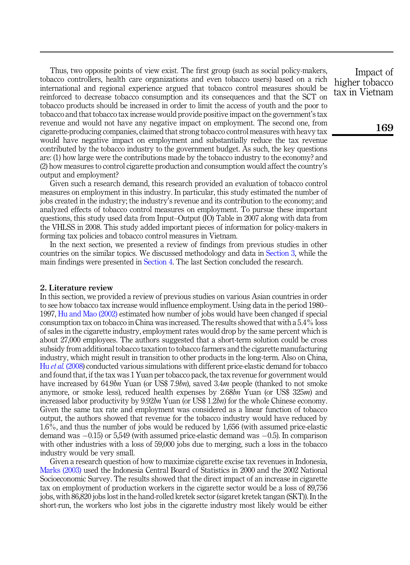Thus, two opposite points of view exist. The first group (such as social policy-makers, tobacco controllers, health care organizations and even tobacco users) based on a rich international and regional experience argued that tobacco control measures should be reinforced to decrease tobacco consumption and its consequences and that the SCT on tobacco products should be increased in order to limit the access of youth and the poor to tobacco and that tobacco tax increase would provide positive impact on the government's tax revenue and would not have any negative impact on employment. The second one, from cigarette-producing companies, claimed that strong tobacco control measures with heavy tax would have negative impact on employment and substantially reduce the tax revenue contributed by the tobacco industry to the government budget. As such, the key questions are: (1) how large were the contributions made by the tobacco industry to the economy? and (2) how measures to control cigarette production and consumption would affect the country's output and employment?

Given such a research demand, this research provided an evaluation of tobacco control measures on employment in this industry. In particular, this study estimated the number of jobs created in the industry; the industry's revenue and its contribution to the economy; and analyzed effects of tobacco control measures on employment. To pursue these important questions, this study used data from Input–Output (IO) Table in 2007 along with data from the VHLSS in 2008. This study added important pieces of information for policy-makers in forming tax policies and tobacco control measures in Vietnam.

In the next section, we presented a review of findings from previous studies in other countries on the similar topics. We discussed methodology and data in [Section 3,](#page-4-0) while the main findings were presented in [Section 4.](#page-6-0) The last Section concluded the research.

## 2. Literature review

In this section, we provided a review of previous studies on various Asian countries in order to see how tobacco tax increase would influence employment. Using data in the period 1980– 1997, [Hu and Mao \(2002\)](#page-14-3) estimated how number of jobs would have been changed if special consumption tax on tobacco in China was increased. The results showed that with a 5.4% loss of sales in the cigarette industry, employment rates would drop by the same percent which is about 27,000 employees. The authors suggested that a short-term solution could be cross subsidy from additional tobacco taxation to tobacco farmers and the cigarette manufacturing industry, which might result in transition to other products in the long-term. Also on China, Hu *et al.* [\(2008\)](#page-14-4) conducted various simulations with different price-elastic demand for tobacco and found that, if the tax was 1 Yuan per tobacco pack, the tax revenue for government would have increased by 64.9bn Yuan (or US\$ 7.9bn), saved 3.4m people (thanked to not smoke anymore, or smoke less), reduced health expenses by  $2.68bn$  Yuan (or US\$ 325 $m$ ) and increased labor productivity by  $9.92bn$  Yuan (or US\$ 1.2bn) for the whole Chinese economy. Given the same tax rate and employment was considered as a linear function of tobacco output, the authors showed that revenue for the tobacco industry would have reduced by 1.6%, and thus the number of jobs would be reduced by 1,656 (with assumed price-elastic demand was  $-0.15$ ) or 5,549 (with assumed price-elastic demand was  $-0.5$ ). In comparison with other industries with a loss of 59,000 jobs due to merging, such a loss in the tobacco industry would be very small.

Given a research question of how to maximize cigarette excise tax revenues in Indonesia, [Marks \(2003\)](#page-15-5) used the Indonesia Central Board of Statistics in 2000 and the 2002 National Socioeconomic Survey. The results showed that the direct impact of an increase in cigarette tax on employment of production workers in the cigarette sector would be a loss of 89,756 jobs, with 86,820 jobs lost in the hand-rolled kretek sector (sigaret kretek tangan (SKT)). In the short-run, the workers who lost jobs in the cigarette industry most likely would be either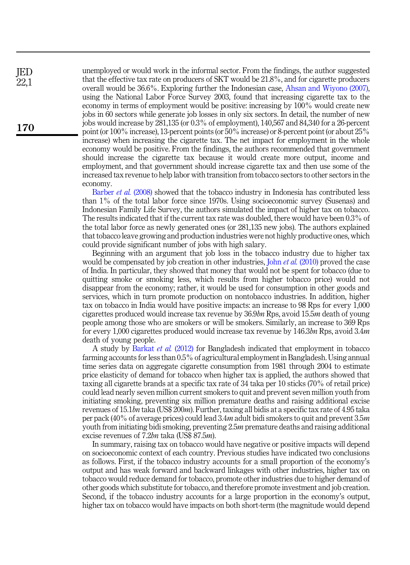unemployed or would work in the informal sector. From the findings, the author suggested that the effective tax rate on producers of SKT would be 21.8%, and for cigarette producers overall would be 36.6%. Exploring further the Indonesian case, [Ahsan and Wiyono \(2007\)](#page-14-5), using the National Labor Force Survey 2003, found that increasing cigarette tax to the economy in terms of employment would be positive: increasing by 100% would create new jobs in 60 sectors while generate job losses in only six sectors. In detail, the number of new jobs would increase by 281,135 (or 0.3% of employment), 140,567 and 84,340 for a 26-percent point (or 100% increase), 13-percent points (or 50% increase) or 8-percent point (or about 25% increase) when increasing the cigarette tax. The net impact for employment in the whole economy would be positive. From the findings, the authors recommended that government should increase the cigarette tax because it would create more output, income and employment, and that government should increase cigarette tax and then use some of the increased tax revenue to help labor with transition from tobacco sectors to other sectors in the economy.

[Barber](#page-14-6) *et al.* (2008) showed that the tobacco industry in Indonesia has contributed less than 1% of the total labor force since 1970s. Using socioeconomic survey (Susenas) and Indonesian Family Life Survey, the authors simulated the impact of higher tax on tobacco. The results indicated that if the current tax rate was doubled, there would have been 0.3% of the total labor force as newly generated ones (or 281,135 new jobs). The authors explained that tobacco leave growing and production industries were not highly productive ones, which could provide significant number of jobs with high salary.

Beginning with an argument that job loss in the tobacco industry due to higher tax would be compensated by job creation in other industries. John *et al.* [\(2010\)](#page-15-6) proved the case of India. In particular, they showed that money that would not be spent for tobacco (due to quitting smoke or smoking less, which results from higher tobacco price) would not disappear from the economy; rather, it would be used for consumption in other goods and services, which in turn promote production on nontobacco industries. In addition, higher tax on tobacco in India would have positive impacts: an increase to 98 Rps for every 1,000 cigarettes produced would increase tax revenue by 36.9bn Rps, avoid 15.5m death of young people among those who are smokers or will be smokers. Similarly, an increase to 369 Rps for every 1,000 cigarettes produced would increase tax revenue by 146.3bn Rps, avoid 3.4m death of young people.

A study by [Barkat](#page-14-7) et al. (2012) for Bangladesh indicated that employment in tobacco farming accounts for less than 0.5% of agricultural employment in Bangladesh. Using annual time series data on aggregate cigarette consumption from 1981 through 2004 to estimate price elasticity of demand for tobacco when higher tax is applied, the authors showed that taxing all cigarette brands at a specific tax rate of 34 taka per 10 sticks (70% of retail price) could lead nearly seven million current smokers to quit and prevent seven million youth from initiating smoking, preventing six million premature deaths and raising additional excise revenues of 15.1bn taka (US\$ 200m). Further, taxing all bidis at a specific tax rate of 4.95 taka per pack (40% of average prices) could lead  $3.4m$  adult bidi smokers to quit and prevent  $3.5m$ youth from initiating bidi smoking, preventing 2.5m premature deaths and raising additional excise revenues of 7.2bn taka (US\$ 87.5m).

In summary, raising tax on tobacco would have negative or positive impacts will depend on socioeconomic context of each country. Previous studies have indicated two conclusions as follows. First, if the tobacco industry accounts for a small proportion of the economy's output and has weak forward and backward linkages with other industries, higher tax on tobacco would reduce demand for tobacco, promote other industries due to higher demand of other goods which substitute for tobacco, and therefore promote investment and job creation. Second, if the tobacco industry accounts for a large proportion in the economy's output, higher tax on tobacco would have impacts on both short-term (the magnitude would depend

JED 22,1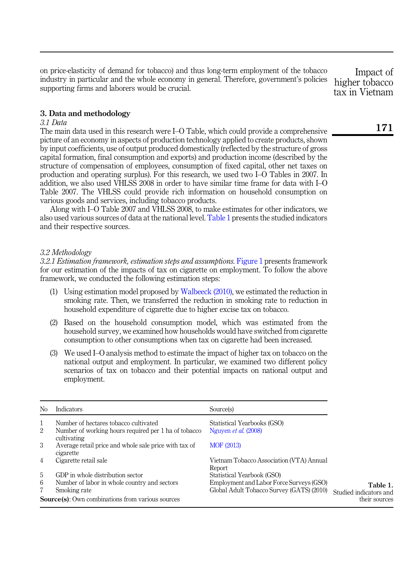on price-elasticity of demand for tobacco) and thus long-term employment of the tobacco industry in particular and the whole economy in general. Therefore, government's policies supporting firms and laborers would be crucial.

## <span id="page-4-0"></span>3. Data and methodology

## 3.1 Data

The main data used in this research were I–O Table, which could provide a comprehensive picture of an economy in aspects of production technology applied to create products, shown by input coefficients, use of output produced domestically (reflected by the structure of gross capital formation, final consumption and exports) and production income (described by the structure of compensation of employees, consumption of fixed capital, other net taxes on production and operating surplus). For this research, we used two I–O Tables in 2007. In addition, we also used VHLSS 2008 in order to have similar time frame for data with I–O Table 2007. The VHLSS could provide rich information on household consumption on various goods and services, including tobacco products.

Along with I–O Table 2007 and VHLSS 2008, to make estimates for other indicators, we also used various sources of data at the national level. Table 1 presents the studied indicators and their respective sources.

## 3.2 Methodology

3.2.1 Estimation framework, estimation steps and assumptions. [Figure 1](#page-5-0) presents framework for our estimation of the impacts of tax on cigarette on employment. To follow the above framework, we conducted the following estimation steps:

- (1) Using estimation model proposed by [Walbeeck \(2010\)](#page-15-7), we estimated the reduction in smoking rate. Then, we transferred the reduction in smoking rate to reduction in household expenditure of cigarette due to higher excise tax on tobacco.
- (2) Based on the household consumption model, which was estimated from the household survey, we examined how households would have switched from cigarette consumption to other consumptions when tax on cigarette had been increased.
- (3) We used I–O analysis method to estimate the impact of higher tax on tobacco on the national output and employment. In particular, we examined two different policy scenarios of tax on tobacco and their potential impacts on national output and employment.

| N <sub>0</sub> | <b>Indicators</b>                                                   | Source(s)                                          |                        |
|----------------|---------------------------------------------------------------------|----------------------------------------------------|------------------------|
| 1              | Number of hectares tobacco cultivated                               | Statistical Yearbooks (GSO)                        |                        |
| 2              | Number of working hours required per 1 ha of tobacco<br>cultivating | Nguyen <i>et al.</i> (2008)                        |                        |
| 3              | Average retail price and whole sale price with tax of<br>cigarette  | MOF (2013)                                         |                        |
| 4              | Cigarette retail sale                                               | Vietnam Tobacco Association (VTA) Annual<br>Report |                        |
| 5              | GDP in whole distribution sector                                    | Statistical Yearbook (GSO)                         |                        |
| 6              | Number of labor in whole country and sectors                        | Employment and Labor Force Surveys (GSO)           | Table 1.               |
| 7              | Smoking rate                                                        | Global Adult Tobacco Survey (GATS) (2010)          | Studied indicators and |
|                | <b>Source(s):</b> Own combinations from various sources             |                                                    | their sources          |

Impact of higher tobacco tax in Vietnam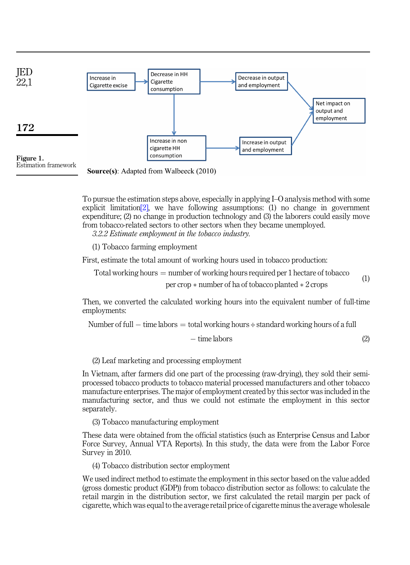<span id="page-5-0"></span>



**Source(s):** Adapted from Walbeeck (2010)

To pursue the estimation steps above, especially in applying I–O analysis method with some explicit limitation  $[2]$ , we have following assumptions: (1) no change in government expenditure; (2) no change in production technology and (3) the laborers could easily move from tobacco-related sectors to other sectors when they became unemployed.

3.2.2 Estimate employment in the tobacco industry.

(1) Tobacco farming employment

First, estimate the total amount of working hours used in tobacco production:

Total working hours  $=$  number of working hours required per 1 hectare of tobacco

per crop  $*$  number of ha of tobacco planted  $*$  2 crops (1)

Then, we converted the calculated working hours into the equivalent number of full-time employments:

Number of full  $-$  time labors  $=$  total working hours  $\div$  standard working hours of a full

$$
-\text{ time labors} \tag{2}
$$

(2) Leaf marketing and processing employment

In Vietnam, after farmers did one part of the processing (raw-drying), they sold their semiprocessed tobacco products to tobacco material processed manufacturers and other tobacco manufacture enterprises. The major of employment created by this sector was included in the manufacturing sector, and thus we could not estimate the employment in this sector separately.

(3) Tobacco manufacturing employment

These data were obtained from the official statistics (such as Enterprise Census and Labor Force Survey, Annual VTA Reports). In this study, the data were from the Labor Force Survey in 2010.

(4) Tobacco distribution sector employment

We used indirect method to estimate the employment in this sector based on the value added (gross domestic product (GDP)) from tobacco distribution sector as follows: to calculate the retail margin in the distribution sector, we first calculated the retail margin per pack of cigarette, which was equal to the average retail price of cigarette minus the average wholesale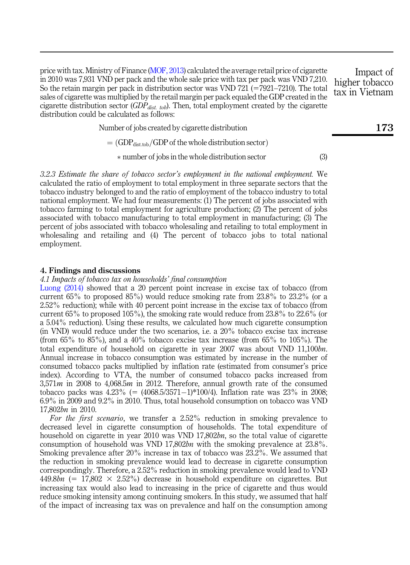price with tax. Ministry of Finance ([MOF, 2013](#page-15-9)) calculated the average retail price of cigarette in 2010 was 7,931 VND per pack and the whole sale price with tax per pack was VND 7,210. So the retain margin per pack in distribution sector was VND  $721$  ( $=7921-7210$ ). The total sales of cigarette was multiplied by the retail margin per pack equaled the GDP created in the cigarette distribution sector ( $GDP_{dist. \ tob}$ ). Then, total employment created by the cigarette distribution could be calculated as follows:

Number of jobs created by cigarette distribution

 $=$  (GDP<sub>dist.tob</sub>/GDP of the whole distribution sector)

number of jobs in the whole distribution sector (3)

3.2.3 Estimate the share of tobacco sector's employment in the national employment. We calculated the ratio of employment to total employment in three separate sectors that the tobacco industry belonged to and the ratio of employment of the tobacco industry to total national employment. We had four measurements: (1) The percent of jobs associated with tobacco farming to total employment for agriculture production; (2) The percent of jobs associated with tobacco manufacturing to total employment in manufacturing; (3) The percent of jobs associated with tobacco wholesaling and retailing to total employment in wholesaling and retailing and (4) The percent of tobacco jobs to total national employment.

## <span id="page-6-0"></span>4. Findings and discussions

4.1 Impacts of tobacco tax on households' final consumption

[Luong \(2014\)](#page-15-10) showed that a 20 percent point increase in excise tax of tobacco (from current  $65\%$  to proposed  $85\%$ ) would reduce smoking rate from  $23.8\%$  to  $23.2\%$  (or a 2.52% reduction); while with 40 percent point increase in the excise tax of tobacco (from current  $65\%$  to proposed  $105\%$ ), the smoking rate would reduce from  $23.8\%$  to  $22.6\%$  (or a 5.04% reduction). Using these results, we calculated how much cigarette consumption (in VND) would reduce under the two scenarios, i.e. a 20% tobacco excise tax increase (from 65% to 85%), and a 40% tobacco excise tax increase (from 65% to 105%). The total expenditure of household on cigarette in year 2007 was about VND 11,100bn. Annual increase in tobacco consumption was estimated by increase in the number of consumed tobacco packs multiplied by inflation rate (estimated from consumer's price index). According to VTA, the number of consumed tobacco packs increased from 3,571m in 2008 to 4,068.5m in 2012. Therefore, annual growth rate of the consumed tobacco packs was  $4.23\%$  (=  $(4068.5/3571-1)*100/4$ ). Inflation rate was 23% in 2008; 6.9% in 2009 and 9.2% in 2010. Thus, total household consumption on tobacco was VND 17,802bn in 2010.

For the first scenario, we transfer a 2.52% reduction in smoking prevalence to decreased level in cigarette consumption of households. The total expenditure of household on cigarette in year 2010 was VND 17,802bn, so the total value of cigarette consumption of household was VND 17,802bn with the smoking prevalence at  $23.8\%$ . Smoking prevalence after 20% increase in tax of tobacco was 23.2%. We assumed that the reduction in smoking prevalence would lead to decrease in cigarette consumption correspondingly. Therefore, a 2.52% reduction in smoking prevalence would lead to VND 449.8bn (=  $17,802 \times 2.52\%$ ) decrease in household expenditure on cigarettes. But increasing tax would also lead to increasing in the price of cigarette and thus would reduce smoking intensity among continuing smokers. In this study, we assumed that half of the impact of increasing tax was on prevalence and half on the consumption among 173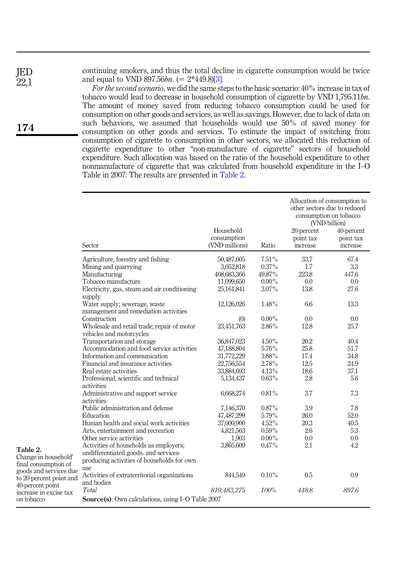JED  $22.1$  continuing smokers, and thus the total decline in cigarette consumption would be twice and equal to VND 897.56bn.  $(= 2*449.8)[3]$ .

For the second scenario, we did the same steps to the basic scenario: 40% increase in tax of tobacco would lead to decrease in household consumption of cigarette by VND 1,795.11bn. The amount of money saved from reducing tobacco consumption could be used for consumption on other goods and services, as well as savings. However, due to lack of data on such behaviors, we assumed that households would use 50% of saved money for consumption on other goods and services. To estimate the impact of switching from consumption of cigarette to consumption in other sectors, we allocated this reduction of cigarette expenditure to other "non-manufacture of cigarette" sectors of household expenditure. Such allocation was based on the ratio of the household expenditure to other nonmanufacture of cigarette that was calculated from household expenditure in the I–O Table in 2007. The results are presented in Table 2.

|                                                                                    | Sector                                                                                     | Household<br>consumption<br>(VND millions) | Ratio    | 20-percent<br>point tax<br>increase | Allocation of consumption to<br>other sectors due to reduced<br>consumption on tobacco<br>(VND billion)<br>40-percent<br>point tax<br>increase |
|------------------------------------------------------------------------------------|--------------------------------------------------------------------------------------------|--------------------------------------------|----------|-------------------------------------|------------------------------------------------------------------------------------------------------------------------------------------------|
|                                                                                    | Agriculture, forestry and fishing                                                          | 50,487,605                                 | 7.51%    | 33.7                                | 67.4                                                                                                                                           |
|                                                                                    | Mining and quarrying                                                                       | 3,052,818                                  | $0.37\%$ | 1.7                                 | 3.3                                                                                                                                            |
|                                                                                    | Manufacturing                                                                              | 408,683,366                                | 49.87%   | 223.8                               | 447.6                                                                                                                                          |
|                                                                                    | Tobacco manufacture                                                                        | 11,099,650                                 | $0.00\%$ | 0.0                                 | 0.0                                                                                                                                            |
|                                                                                    | Electricity, gas, steam and air conditioning                                               | 25,161,841                                 | $3.07\%$ | 13.8                                | 27.6                                                                                                                                           |
|                                                                                    | supply                                                                                     |                                            |          |                                     |                                                                                                                                                |
|                                                                                    | Water supply; sewerage, waste                                                              | 12,126,026                                 | 1.48%    | 6.6                                 | 13.3                                                                                                                                           |
|                                                                                    | management and remediation activities                                                      |                                            |          |                                     |                                                                                                                                                |
|                                                                                    | Construction                                                                               | (0)                                        | $0.00\%$ | 0.0                                 | 0.0                                                                                                                                            |
|                                                                                    | Wholesale and retail trade; repair of motor                                                | 23,451,763                                 | 2.86%    | 12.8                                | 25.7                                                                                                                                           |
|                                                                                    | vehicles and motorcycles                                                                   |                                            |          |                                     |                                                                                                                                                |
|                                                                                    | Transportation and storage                                                                 | 36,847,023                                 | $4.50\%$ | 20.2                                | 40.4                                                                                                                                           |
|                                                                                    | Accommodation and food service activities                                                  | 47,188,804                                 | 5.76%    | 25.8                                | 51.7                                                                                                                                           |
|                                                                                    | Information and communication                                                              | 31,772,229                                 | 3.88%    | 17.4                                | 34.8                                                                                                                                           |
|                                                                                    | Financial and insurance activities                                                         | 22,756,554                                 | 2.78%    | 12.5                                | 24.9                                                                                                                                           |
|                                                                                    | Real estate activities                                                                     | 33,884,693                                 | 4.13%    | 18.6                                | 37.1                                                                                                                                           |
|                                                                                    | Professional, scientific and technical<br>activities                                       | 5,134,437                                  | $0.63\%$ | 2.8                                 | 5.6                                                                                                                                            |
|                                                                                    | Administrative and support service<br>activities                                           | 6,668,274                                  | 0.81%    | 3.7                                 | 7.3                                                                                                                                            |
|                                                                                    | Public administration and defense                                                          | 7,146,370                                  | $0.87\%$ | 3.9                                 | 7.8                                                                                                                                            |
|                                                                                    | Education                                                                                  | 47,487,299                                 | 5.79%    | 26.0                                | 52.0                                                                                                                                           |
|                                                                                    | Human health and social work activities                                                    | 37,000,900                                 | 4.52%    | 20.3                                | 40.5                                                                                                                                           |
|                                                                                    | Arts, entertainment and recreation                                                         | 4,821,563                                  | $0.59\%$ | 2.6                                 | 5.3                                                                                                                                            |
|                                                                                    | Other service activities                                                                   | 1,903                                      | $0.00\%$ | 0.0                                 | 0.0                                                                                                                                            |
|                                                                                    | Activities of households as employers;                                                     | 3,865,609                                  | 0.47%    | 2.1                                 | 4.2                                                                                                                                            |
| Table 2.<br>Change in household'<br>final consumption of<br>goods and services due | undifferentiated goods- and services-<br>producing activities of households for own<br>use |                                            |          |                                     |                                                                                                                                                |
| to 20-percent point and<br>40-percent point                                        | Activities of extraterritorial organizations<br>and bodies                                 | 844,549                                    | $0.10\%$ | 0.5                                 | 0.9                                                                                                                                            |
| increase in excise tax                                                             | <b>Total</b>                                                                               | 819,483,275                                | 100%     | 448.8                               | 897.6                                                                                                                                          |
| on tobacco                                                                         | <b>Source(s):</b> Own calculations, using I-O Table 2007                                   |                                            |          |                                     |                                                                                                                                                |

174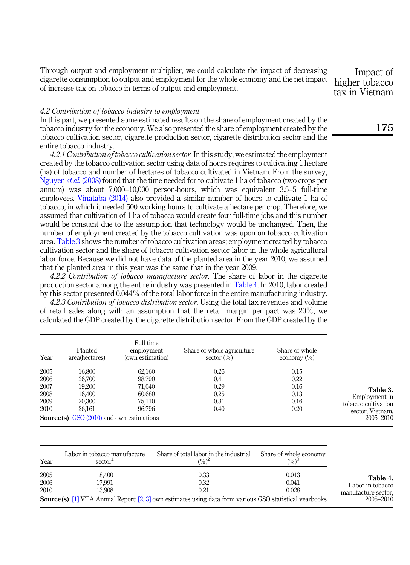Through output and employment multiplier, we could calculate the impact of decreasing cigarette consumption to output and employment for the whole economy and the net impact of increase tax on tobacco in terms of output and employment.

Impact of higher tobacco tax in Vietnam

#### 4.2 Contribution of tobacco industry to employment

In this part, we presented some estimated results on the share of employment created by the tobacco industry for the economy. We also presented the share of employment created by the tobacco cultivation sector, cigarette production sector, cigarette distribution sector and the entire tobacco industry.

4.2.1 Contribution of tobacco cultivation sector. In this study, we estimated the employment created by the tobacco cultivation sector using data of hours requires to cultivating 1 hectare (ha) of tobacco and number of hectares of tobacco cultivated in Vietnam. From the survey, [Nguyen](#page-15-8) *et al.* (2008) found that the time needed for to cultivate 1 has of tobacco (two crops per annum) was about 7,000–10,000 person-hours, which was equivalent 3.5–5 full-time employees. [Vinataba \(2014\)](#page-15-11) also provided a similar number of hours to cultivate 1 ha of tobacco, in which it needed 500 working hours to cultivate a hectare per crop. Therefore, we assumed that cultivation of 1 ha of tobacco would create four full-time jobs and this number would be constant due to the assumption that technology would be unchanged. Then, the number of employment created by the tobacco cultivation was upon on tobacco cultivation area. Table 3 shows the number of tobacco cultivation areas; employment created by tobacco cultivation sector and the share of tobacco cultivation sector labor in the whole agricultural labor force. Because we did not have data of the planted area in the year 2010, we assumed that the planted area in this year was the same that in the year 2009.

4.2.2 Contribution of tobacco manufacture sector. The share of labor in the cigarette production sector among the entire industry was presented in Table 4. In 2010, labor created by this sector presented 0.044% of the total labor force in the entire manufacturing industry.

4.2.3 Contribution of tobacco distribution sector. Using the total tax revenues and volume of retail sales along with an assumption that the retail margin per pact was 20%, we calculated the GDP created by the cigarette distribution sector. From the GDP created by the

| Year | Planted<br>area(hectares)                          | Full time<br>employment<br>(own estimation) | Share of whole agriculture<br>sector $(\% )$ | Share of whole<br>economy $(\% )$ |                     |
|------|----------------------------------------------------|---------------------------------------------|----------------------------------------------|-----------------------------------|---------------------|
| 2005 | 16.800                                             | 62,160                                      | 0.26                                         | 0.15                              |                     |
| 2006 | 26,700                                             | 98.790                                      | 0.41                                         | 0.22                              |                     |
| 2007 | 19.200                                             | 71.040                                      | 0.29                                         | 0.16                              | Table 3.            |
| 2008 | 16.400                                             | 60,680                                      | 0.25                                         | 0.13                              | Employment in       |
| 2009 | 20.300                                             | 75.110                                      | 0.31                                         | 0.16                              | tobacco cultivation |
| 2010 | 26.161                                             | 96.796                                      | 0.40                                         | 0.20                              | sector, Vietnam,    |
|      | <b>Source(s):</b> GSO $(2010)$ and own estimations |                                             |                                              |                                   | 2005–2010           |

| Year | Labor in tobacco manufacture<br>sector <sup>1</sup> | Share of total labor in the industrial<br>$(\%)^2$                                                              | Share of whole economy<br>$(\%)^3$ |                     |
|------|-----------------------------------------------------|-----------------------------------------------------------------------------------------------------------------|------------------------------------|---------------------|
| 2005 | 18,400                                              | 0.33                                                                                                            | 0.043                              | Table 4.            |
| 2006 | 17,991                                              | 0.32                                                                                                            | 0.041                              | Labor in tobacco    |
| 2010 | 13.908                                              | 0.21                                                                                                            | 0.028                              | manufacture sector, |
|      |                                                     | <b>Source(s):</b> [1] VTA Annual Report; [2, 3] own estimates using data from various GSO statistical yearbooks |                                    | 2005–2010           |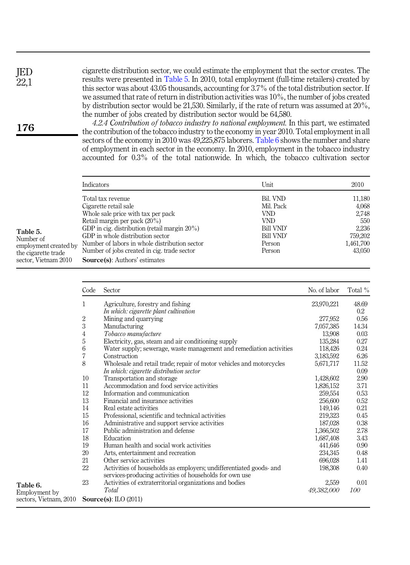cigarette distribution sector, we could estimate the employment that the sector creates. The results were presented in Table 5. In 2010, total employment (full-time retailers) created by this sector was about 43.05 thousands, accounting for 3.7% of the total distribution sector. If we assumed that rate of return in distribution activities was 10%, the number of jobs created by distribution sector would be 21,530. Similarly, if the rate of return was assumed at 20%, the number of jobs created by distribution sector would be 64,580.

4.2.4 Contribution of tobacco industry to national employment. In this part, we estimated the contribution of the tobacco industry to the economy in year 2010. Total employment in all sectors of the economy in 2010 was 49,225,875 laborers. Table 6 shows the number and share of employment in each sector in the economy. In 2010, employment in the tobacco industry accounted for 0.3% of the total nationwide. In which, the tobacco cultivation sector

| Indicators                                              | Unit      | 2010      |
|---------------------------------------------------------|-----------|-----------|
| Total tax revenue                                       | Bil. VND  | 11,180    |
| Cigarette retail sale                                   | Mil. Pack | 4,068     |
| Whole sale price with tax per pack                      | VND.      | 2,748     |
| Retail margin per pack (20%)                            | VND.      | 550       |
| GDP in cig. distribution (retail margin $20\%$ )        | Bill VND' | 2,236     |
| GDP in whole distribution sector                        | Bill VND' | 759,202   |
| Number of labors in whole distribution sector<br>ted bv | Person    | 1,461,700 |
| Number of jobs created in cig. trade sector             | Person    | 43.050    |
| <b>Source(s):</b> Authors' estimates                    |           |           |

|                        | Code | Sector                                                               | No. of labor | Total %    |
|------------------------|------|----------------------------------------------------------------------|--------------|------------|
|                        | 1    | Agriculture, forestry and fishing                                    | 23,970,221   | 48.69      |
|                        |      | In which: cigarette plant cultivation                                |              | $0.2\,$    |
|                        | 2    | Mining and quarrying                                                 | 277,952      | 0.56       |
|                        | 3    | Manufacturing                                                        | 7,057,385    | 14.34      |
|                        | 4    | Tobacco manufacture                                                  | 13,908       | 0.03       |
|                        | 5    | Electricity, gas, steam and air conditioning supply                  | 135,284      | 0.27       |
|                        | 6    | Water supply; sewerage, waste management and remediation activities  | 118,426      | 0.24       |
|                        | 7    | Construction                                                         | 3,183,592    | 6.26       |
|                        | 8    | Wholesale and retail trade; repair of motor vehicles and motorcycles | 5,671,717    | 11.52      |
|                        |      | In which: cigarette distribution sector                              |              | 0.09       |
|                        | 10   | Transportation and storage                                           | 1,428,602    | 2.90       |
|                        | 11   | Accommodation and food service activities                            | 1,826,152    | 3.71       |
|                        | 12   | Information and communication                                        | 259,554      | 0.53       |
|                        | 13   | Financial and insurance activities                                   | 256,600      | 0.52       |
|                        | 14   | Real estate activities                                               | 149,146      | 0.21       |
|                        | 15   | Professional, scientific and technical activities                    | 219,323      | 0.45       |
|                        | 16   | Administrative and support service activities                        | 187,028      | 0.38       |
|                        | 17   | Public administration and defense                                    | 1,366,502    | 2.78       |
|                        | 18   | Education                                                            | 1,687,408    | 3.43       |
|                        | 19   | Human health and social work activities                              | 441,646      | 0.90       |
|                        | 20   | Arts, entertainment and recreation                                   | 234,345      | 0.48       |
|                        | 21   | Other service activities                                             | 696,028      | 1.41       |
|                        | 22   | Activities of households as employers; undifferentiated goods- and   | 198,308      | 0.40       |
|                        | 23   | services-producing activities of households for own use              | 2,559        | 0.01       |
| Table 6.               |      | Activities of extraterritorial organizations and bodies<br>Total     | 49,382,000   | <i>100</i> |
| Employment by          |      |                                                                      |              |            |
| sectors, Vietnam, 2010 |      | Source(s): $\text{ILO}$ (2011)                                       |              |            |

Table 5. Number of employment crea the cigarette trad sector, Vietnam 2

176

Table 6.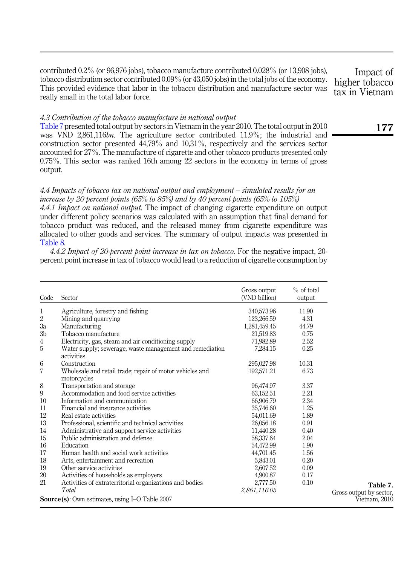contributed 0.2% (or 96,976 jobs), tobacco manufacture contributed 0.028% (or 13,908 jobs), tobacco distribution sector contributed 0.09% (or 43,050 jobs) in the total jobs of the economy. This provided evidence that labor in the tobacco distribution and manufacture sector was really small in the total labor force.

## 4.3 Contribution of the tobacco manufacture in national output

Table 7 presented total output by sectors in Vietnam in the year 2010. The total output in 2010 was VND 2,861,116bn. The agriculture sector contributed 11.9%; the industrial and construction sector presented 44,79% and 10,31%, respectively and the services sector accounted for 27%. The manufacture of cigarette and other tobacco products presented only 0.75%. This sector was ranked 16th among 22 sectors in the economy in terms of gross output.

4.4 Impacts of tobacco tax on national output and employment – simulated results for an increase by 20 percent points (65% to 85%) and by 40 percent points (65% to 105%)

4.4.1 Impact on national output. The impact of changing cigarette expenditure on output under different policy scenarios was calculated with an assumption that final demand for tobacco product was reduced, and the released money from cigarette expenditure was allocated to other goods and services. The summary of output impacts was presented in [Table 8](#page-11-0).

4.4.2 Impact of 20-percent point increase in tax on tobacco. For the negative impact, 20 percent point increase in tax of tobacco would lead to a reduction of cigarette consumption by

| Code           | Sector                                                                  | Gross output<br>(VND billion) | $%$ of total<br>output |                                          |
|----------------|-------------------------------------------------------------------------|-------------------------------|------------------------|------------------------------------------|
| 1              | Agriculture, forestry and fishing                                       | 340,573.96                    | 11.90                  |                                          |
| $\overline{2}$ | Mining and quarrying                                                    | 123,266.59                    | 4.31                   |                                          |
| 3a             | Manufacturing                                                           | 1,281,459.45                  | 44.79                  |                                          |
| 3 <sub>b</sub> | Tobacco manufacture                                                     | 21,519.83                     | 0.75                   |                                          |
| 4              | Electricity, gas, steam and air conditioning supply                     | 71,982.89                     | 2.52                   |                                          |
| 5              | Water supply; sewerage, waste management and remediation<br>activities  | 7.284.15                      | 0.25                   |                                          |
| 6              | Construction                                                            | 295,027.98                    | 10.31                  |                                          |
| 7              | Wholesale and retail trade; repair of motor vehicles and<br>motorcycles | 192,571.21                    | 6.73                   |                                          |
| 8              | Transportation and storage                                              | 96,474.97                     | 3.37                   |                                          |
| 9              | Accommodation and food service activities                               | 63,152.51                     | 2.21                   |                                          |
| 10             | Information and communication                                           | 66,906.79                     | 2.34                   |                                          |
| 11             | Financial and insurance activities                                      | 35,746.60                     | 1.25                   |                                          |
| 12             | Real estate activities                                                  | 54,011.69                     | 1.89                   |                                          |
| 13             | Professional, scientific and technical activities                       | 26,056.18                     | 0.91                   |                                          |
| 14             | Administrative and support service activities                           | 11,440.28                     | 0.40                   |                                          |
| 15             | Public administration and defense                                       | 58,337.64                     | 2.04                   |                                          |
| 16             | Education                                                               | 54,472.99                     | 1.90                   |                                          |
| 17             | Human health and social work activities                                 | 44,701.45                     | 1.56                   |                                          |
| 18             | Arts, entertainment and recreation                                      | 5,843.01                      | 0.20                   |                                          |
| 19             | Other service activities                                                | 2.607.52                      | 0.09                   |                                          |
| 20             | Activities of households as employers                                   | 4,900.87                      | 0.17                   |                                          |
| 21             | Activities of extraterritorial organizations and bodies                 | 2,777.50                      | 0.10                   | Table 7.                                 |
|                | Total<br>Source(s): Own estimates, using I-O Table 2007                 | 2,861,116.05                  |                        | Gross output by sector,<br>Vietnam, 2010 |

Impact of higher tobacco tax in Vietnam

177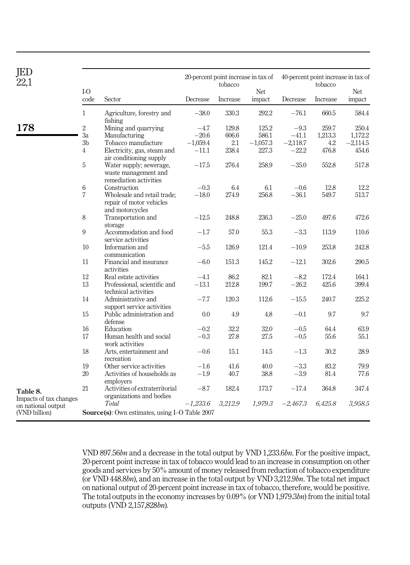<span id="page-11-0"></span>

| JED<br>22,1                                                   |                 |                                                                            |            | tobacco  | 20-percent point increase in tax of |            | 40-percent point increase in tax of<br>tobacco |            |
|---------------------------------------------------------------|-----------------|----------------------------------------------------------------------------|------------|----------|-------------------------------------|------------|------------------------------------------------|------------|
|                                                               | $I-O$           |                                                                            |            |          | <b>Net</b>                          |            |                                                | <b>Net</b> |
|                                                               | code            | Sector                                                                     | Decrease   | Increase | impact                              | Decrease   | Increase                                       | impact     |
|                                                               | $\mathbf{1}$    | Agriculture, forestry and<br>fishing                                       | $-38.0$    | 330.3    | 292.2                               | $-76.1$    | 660.5                                          | 584.4      |
| 178                                                           | $\overline{2}$  | Mining and quarrying                                                       | $-4.7$     | 129.8    | 125.2                               | $-9.3$     | 259.7                                          | 250.4      |
|                                                               | 3a              | Manufacturing                                                              | $-20.6$    | 606.6    | 586.1                               | $-41.1$    | 1,213.3                                        | 1.172.2    |
|                                                               | 3 <sub>b</sub>  | Tobacco manufacture                                                        | $-1,059.4$ | 2.1      | $-1,057.3$                          | $-2,118.7$ | 4.2                                            | $-2,114.5$ |
|                                                               | $\overline{4}$  | Electricity, gas, steam and<br>air conditioning supply                     | $-11.1$    | 238.4    | 227.3                               | $-22.2$    | 476.8                                          | 454.6      |
|                                                               | 5               | Water supply; sewerage,<br>waste management and<br>remediation activities  | $-17.5$    | 276.4    | 258.9                               | $-35.0$    | 552.8                                          | 517.8      |
|                                                               | $6\phantom{.}6$ | Construction                                                               | $-0.3$     | 6.4      | 6.1                                 | $-0.6$     | 12.8                                           | 12.2       |
|                                                               | 7               | Wholesale and retail trade;<br>repair of motor vehicles<br>and motorcycles | $-18.0$    | 274.9    | 256.8                               | $-36.1$    | 549.7                                          | 513.7      |
|                                                               | 8               | Transportation and<br>storage                                              | $-12.5$    | 248.8    | 236.3                               | $-25.0$    | 497.6                                          | 472.6      |
|                                                               | 9               | Accommodation and food<br>service activities                               | $-1.7$     | 57.0     | 55.3                                | $-3.3$     | 113.9                                          | 110.6      |
|                                                               | 10              | Information and<br>communication                                           | $-5.5$     | 126.9    | 121.4                               | $-10.9$    | 253.8                                          | 242.8      |
|                                                               | 11              | Financial and insurance<br>activities                                      | $-6.0$     | 151.3    | 145.2                               | $-12.1$    | 302.6                                          | 290.5      |
|                                                               | 12              | Real estate activities                                                     | $-4.1$     | 86.2     | 82.1                                | $-8.2$     | 172.4                                          | 164.1      |
|                                                               | 13              | Professional, scientific and<br>technical activities                       | $-13.1$    | 212.8    | 199.7                               | $-26.2$    | 425.6                                          | 399.4      |
|                                                               | 14              | Administrative and<br>support service activities                           | $-7.7$     | 120.3    | 112.6                               | $-15.5$    | 240.7                                          | 225.2      |
|                                                               | 15              | Public administration and<br>defense                                       | 0.0        | 4.9      | 4.8                                 | $-0.1$     | 9.7                                            | 9.7        |
|                                                               | 16              | Education                                                                  | $-0.2$     | 32.2     | 32.0                                | $-0.5$     | 64.4                                           | 63.9       |
|                                                               | 17              | Human health and social<br>work activities                                 | $-0.3$     | 27.8     | 27.5                                | $-0.5$     | 55.6                                           | 55.1       |
|                                                               | 18              | Arts, entertainment and<br>recreation                                      | $-0.6$     | 15.1     | 14.5                                | $-1.3$     | 30.2                                           | 28.9       |
|                                                               | 19              | Other service activities                                                   | $-1.6$     | 41.6     | 40.0                                | $-3.3$     | 83.2                                           | 79.9       |
|                                                               | 20              | Activities of households as<br>employers                                   | $-1.9$     | 40.7     | 38.8                                | $-3.9$     | 81.4                                           | 77.6       |
| Table 8.                                                      | 21              | Activities of extraterritorial<br>organizations and bodies                 | $-8.7$     | 182.4    | 173.7                               | $-17.4$    | 364.8                                          | 347.4      |
| Impacts of tax changes<br>on national output<br>(VND billion) |                 | Total<br><b>Source(s):</b> Own estimates, using I-O Table 2007             | $-1,233.6$ | 3,212.9  | 1,979.3                             | $-2,467.3$ | 6,425.8                                        | 3,958.5    |

VND 897.56bn and a decrease in the total output by VND 1,233.6bn. For the positive impact, 20-percent point increase in tax of tobacco would lead to an increase in consumption on other goods and services by 50% amount of money released from reduction of tobacco expenditure (or VND 448.8bn), and an increase in the total output by VND 3,212.9bn. The total net impact on national output of 20-percent point increase in tax of tobacco, therefore, would be positive. The total outputs in the economy increases by 0.09% (or VND 1,979.3bn) from the initial total outputs (VND 2,157,828bn).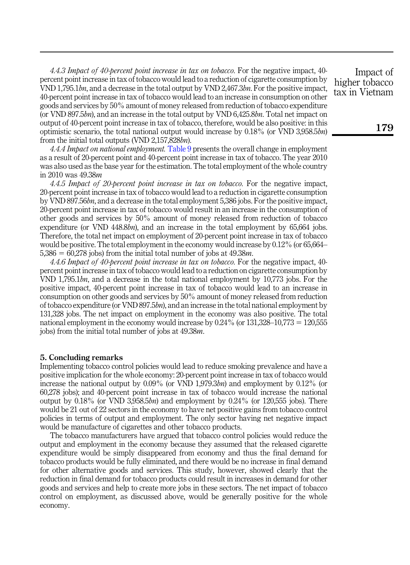4.4.3 Impact of 40-percent point increase in tax on tobacco. For the negative impact, 40 percent point increase in tax of tobacco would lead to a reduction of cigarette consumption by VND 1,795.1bn, and a decrease in the total output by VND 2,467.3bn. For the positive impact, 40-percent point increase in tax of tobacco would lead to an increase in consumption on other goods and services by 50% amount of money released from reduction of tobacco expenditure (or VND 897.5bn), and an increase in the total output by VND  $6,425.8$ bn. Total net impact on output of 40-percent point increase in tax of tobacco, therefore, would be also positive: in this optimistic scenario, the total national output would increase by  $0.18\%$  (or VND 3,958.5bn) from the initial total outputs (VND 2,157,828bn).

4.4.4 Impact on national employment. [Table 9](#page-13-0) presents the overall change in employment as a result of 20-percent point and 40-percent point increase in tax of tobacco. The year 2010 was also used as the base year for the estimation. The total employment of the whole country in 2010 was 49.38m

4.4.5 Impact of 20-percent point increase in tax on tobacco. For the negative impact, 20-percent point increase in tax of tobacco would lead to a reduction in cigarette consumption by VND 897.56bn, and a decrease in the total employment 5,386 jobs. For the positive impact, 20-percent point increase in tax of tobacco would result in an increase in the consumption of other goods and services by 50% amount of money released from reduction of tobacco expenditure (or VND  $448.8bn$ ), and an increase in the total employment by  $65.664$  jobs. Therefore, the total net impact on employment of 20-percent point increase in tax of tobacco would be positive. The total employment in the economy would increase by 0.12% (or 65,664–  $5,386 = 60,278$  jobs) from the initial total number of jobs at 49.38*m*.

4.4.6 Impact of 40-percent point increase in tax on tobacco. For the negative impact, 40 percent point increase in tax of tobacco would lead to a reduction on cigarette consumption by VND 1,795.1bn, and a decrease in the total national employment by 10,773 jobs. For the positive impact, 40-percent point increase in tax of tobacco would lead to an increase in consumption on other goods and services by 50% amount of money released from reduction of tobacco expenditure (or VND 897.5bn), and an increase in the total national employment by 131,328 jobs. The net impact on employment in the economy was also positive. The total national employment in the economy would increase by  $0.24\%$  (or  $131,328-10,773 = 120,555$ ) jobs) from the initial total number of jobs at 49.38m.

## 5. Concluding remarks

Implementing tobacco control policies would lead to reduce smoking prevalence and have a positive implication for the whole economy: 20-percent point increase in tax of tobacco would increase the national output by  $0.09\%$  (or VND 1,979.3bn) and employment by  $0.12\%$  (or 60,278 jobs); and 40-percent point increase in tax of tobacco would increase the national output by  $0.18\%$  (or VND 3,958.5bn) and employment by  $0.24\%$  (or 120,555 jobs). There would be 21 out of 22 sectors in the economy to have net positive gains from tobacco control policies in terms of output and employment. The only sector having net negative impact would be manufacture of cigarettes and other tobacco products.

The tobacco manufacturers have argued that tobacco control policies would reduce the output and employment in the economy because they assumed that the released cigarette expenditure would be simply disappeared from economy and thus the final demand for tobacco products would be fully eliminated, and there would be no increase in final demand for other alternative goods and services. This study, however, showed clearly that the reduction in final demand for tobacco products could result in increases in demand for other goods and services and help to create more jobs in these sectors. The net impact of tobacco control on employment, as discussed above, would be generally positive for the whole economy.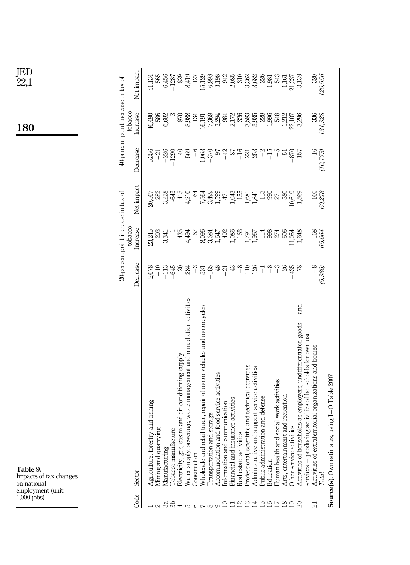<span id="page-13-0"></span>

| $1,000$ jobs) | Table 9.<br>Impacts of tax changes<br>on national<br>employment (unit:                                                           |                                                                                                                                                                                                                                                                                                                     |                                                |                         |                   | 180                                                     | JED<br>22,1                                             |
|---------------|----------------------------------------------------------------------------------------------------------------------------------|---------------------------------------------------------------------------------------------------------------------------------------------------------------------------------------------------------------------------------------------------------------------------------------------------------------------|------------------------------------------------|-------------------------|-------------------|---------------------------------------------------------|---------------------------------------------------------|
|               |                                                                                                                                  |                                                                                                                                                                                                                                                                                                                     | 20-percent point increase in tax of<br>tobacco |                         |                   | 40-percent point increase in tax of<br>tobacco          |                                                         |
| Code          | Sector                                                                                                                           | Decrease                                                                                                                                                                                                                                                                                                            | Increase                                       | Net impact              | Decrease          | Increase                                                | Net impact                                              |
|               | estry and fishing<br>Agriculture, for                                                                                            | 2,678                                                                                                                                                                                                                                                                                                               | 23,245                                         | 20,567                  | 5,356             | 46,490                                                  | 41,134                                                  |
| ನ ಇ ಅ         | Mining and quarrying<br>Manufacturing                                                                                            | $\frac{1}{1}$                                                                                                                                                                                                                                                                                                       | 293<br>3,341                                   | 282<br>3,228            | $-226$<br>កុ      | 6,682                                                   | 6,456<br>565                                            |
|               | acture<br>Tobacco manuf                                                                                                          | $-113$                                                                                                                                                                                                                                                                                                              |                                                | 643                     | $-1290$           |                                                         | $-1287$                                                 |
|               | steam and air conditioning supply<br>Electricity, gas,                                                                           | $-20$                                                                                                                                                                                                                                                                                                               | 435                                            | 415                     | $\triangleq$      | 870                                                     | 829                                                     |
|               | Water supply; sewerage, waste management and remediation activities                                                              | $-284$                                                                                                                                                                                                                                                                                                              | 4,494                                          | 4,210                   | $-569$            | 8,988                                                   | 8,419                                                   |
|               | Construction                                                                                                                     |                                                                                                                                                                                                                                                                                                                     | 67                                             | S,                      | $\frac{6}{1}$     | 134                                                     | 127                                                     |
|               | retail trade; repair of motor vehicles and motorcycles<br>Wholesale and                                                          | $\frac{3}{2}$ $\frac{3}{2}$ $\frac{3}{2}$ $\frac{3}{2}$ $\frac{3}{2}$ $\frac{3}{2}$ $\frac{3}{2}$ $\frac{3}{2}$ $\frac{3}{2}$ $\frac{3}{2}$ $\frac{3}{2}$ $\frac{3}{2}$ $\frac{3}{2}$ $\frac{3}{2}$ $\frac{3}{2}$ $\frac{3}{2}$ $\frac{3}{2}$ $\frac{3}{2}$ $\frac{3}{2}$ $\frac{3}{2}$ $\frac{3}{2}$ $\frac{3}{2}$ | 8,096                                          | 7,564                   | $-1,063$          |                                                         |                                                         |
| $0.9 - 0.0$   | Accommodation and food service activities<br>and storage<br>Transportation                                                       | $-48$                                                                                                                                                                                                                                                                                                               | 1,647                                          | 3,499<br>1,599          | $-370$<br>$-97$   | $\begin{array}{c} 16,191 \\ 7,369 \\ 3,294 \end{array}$ | 15,129<br>6,998<br>3,198                                |
| ₽             | 1 communication<br>Information and                                                                                               | $-21$                                                                                                                                                                                                                                                                                                               |                                                | Į7                      | $-42$             | 984                                                     |                                                         |
| 급             | Financial and insurance activities                                                                                               | $-43$                                                                                                                                                                                                                                                                                                               | $492$<br>1,086                                 | 1,043                   | $-87$             | 2,172                                                   | 942<br>2,085                                            |
|               | Real estate activities                                                                                                           |                                                                                                                                                                                                                                                                                                                     | 163                                            | 155                     | $-16$             | 326                                                     |                                                         |
|               | Professional, scientific and technical activities                                                                                | 728                                                                                                                                                                                                                                                                                                                 |                                                | 1,681                   | $-221$<br>$-253$  | 3,583<br>3,935                                          |                                                         |
| 221945        | and support service activities<br>Administrative                                                                                 |                                                                                                                                                                                                                                                                                                                     | <b>ESS</b>                                     | $\frac{13}{2}$<br>1,841 |                   | 228                                                     |                                                         |
|               | ration and defense<br>Public administ<br>Education                                                                               | $-8$<br>T                                                                                                                                                                                                                                                                                                           |                                                | 990                     | $\gamma$<br>$-15$ |                                                         |                                                         |
|               | Human health and social work activities                                                                                          | $\tilde{c}$                                                                                                                                                                                                                                                                                                         | 98<br>274                                      | 27                      | ျ                 | 1,996<br>548                                            |                                                         |
| 228           | Arts, entertainment and recreation                                                                                               | $-26$                                                                                                                                                                                                                                                                                                               | 606                                            | 580                     | $-51$             | 1,212                                                   | $\begin{array}{c} 1.161 \\ 21.237 \\ 3.139 \end{array}$ |
|               | Other service activities                                                                                                         | $-435$                                                                                                                                                                                                                                                                                                              | 11,054                                         | 10,619                  | $-870$            | 22,107                                                  |                                                         |
|               | Activities of households as employers; undifferentiated goods - and<br>services - producing activities of households for own use | $-78$                                                                                                                                                                                                                                                                                                               | 1,648                                          | 1,569                   | $-157$            | 3,296                                                   |                                                         |
| 임             | traterritorial organizations and bodies<br>Activities of ext                                                                     | $-8$                                                                                                                                                                                                                                                                                                                | 168                                            | 160                     | $-16$             | 336                                                     | 320                                                     |
|               | Total                                                                                                                            | (5,386)                                                                                                                                                                                                                                                                                                             | 65,664                                         | 60,278                  | (10,773,          | 131,328                                                 | 120,556                                                 |
|               | Source(s): Own estimates, using I-O Table 2007                                                                                   |                                                                                                                                                                                                                                                                                                                     |                                                |                         |                   |                                                         |                                                         |

 $\begin{array}{llllll} \mathbb{Z}_2^2 & \mathbb{Z}_2^2 & \mathbb{Z}_2^2 & \mathbb{Z}_2^2 & \mathbb{Z}_2^2 & \mathbb{Z}_2^2 & \mathbb{Z}_2^2 & \mathbb{Z}_2^2 & \mathbb{Z}_2^2 & \mathbb{Z}_2^2 & \mathbb{Z}_2^2 & \mathbb{Z}_2^2 & \mathbb{Z}_2^2 & \mathbb{Z}_2^2 & \mathbb{Z}_2^2 & \mathbb{Z}_2^2 & \mathbb{Z}_2^2 & \mathbb{Z}_2^2 & \mathbb{Z}_2^2 & \mathbb{Z}_2^2 & \mathbb{Z}_2^2 & \$ 

320,556<br>120,556

Net impact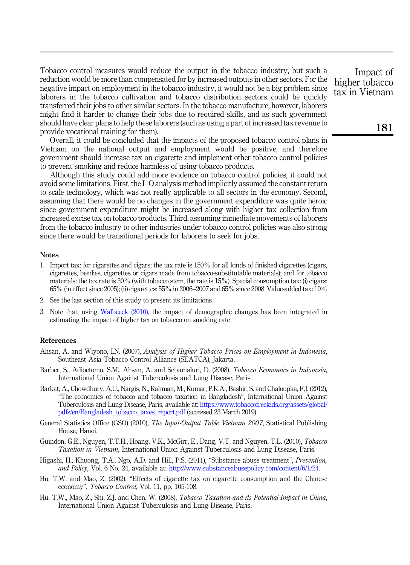Tobacco control measures would reduce the output in the tobacco industry, but such a reduction would be more than compensated for by increased outputs in other sectors. For the negative impact on employment in the tobacco industry, it would not be a big problem since laborers in the tobacco cultivation and tobacco distribution sectors could be quickly transferred their jobs to other similar sectors. In the tobacco manufacture, however, laborers might find it harder to change their jobs due to required skills, and as such government should have clear plans to help these laborers (such as using a part of increased tax revenue to provide vocational training for them).

Overall, it could be concluded that the impacts of the proposed tobacco control plans in Vietnam on the national output and employment would be positive, and therefore government should increase tax on cigarette and implement other tobacco control policies to prevent smoking and reduce harmless of using tobacco products.

Although this study could add more evidence on tobacco control policies, it could not avoid some limitations. First, the I–O analysis method implicitly assumed the constant return to scale technology, which was not really applicable to all sectors in the economy. Second, assuming that there would be no changes in the government expenditure was quite heroic since government expenditure might be increased along with higher tax collection from increased excise tax on tobacco products. Third, assuming immediate movements of laborers from the tobacco industry to other industries under tobacco control policies was also strong since there would be transitional periods for laborers to seek for jobs.

## **Notes**

- <span id="page-14-0"></span>1. Import tax: for cigarettes and cigars: the tax rate is 150% for all kinds of finished cigarettes (cigars, cigarettes, beedies, cigarettes or cigars made from tobacco-substitutable materials); and for tobacco materials: the tax rate is 30% (with tobacco stem, the rate is 15%). Special consumption tax: (i) cigars: 65% (in effect since 2005); (ii) cigarettes: 55% in 2006–2007 and 65% since 2008. Value-added tax: 10%
- <span id="page-14-8"></span>2. See the last section of this study to present its limitations
- <span id="page-14-9"></span>3. Note that, using [Walbeeck \(2010\)](#page-15-7), the impact of demographic changes has been integrated in estimating the impact of higher tax on tobacco on smoking rate

#### References

- <span id="page-14-5"></span>Ahsan, A. and Wiyono, I.N. (2007), Analysis of Higher Tobacco Prices on Employment in Indonesia, Southeast Asia Tobacco Control Alliance (SEATCA), Jakarta.
- <span id="page-14-6"></span>Barber, S., Adioetomo, S.M., Ahsan, A. and Setyonaluri, D. (2008), Tobacco Economics in Indonesia. International Union Against Tuberculosis and Lung Disease, Paris.
- <span id="page-14-7"></span>Barkat, A., Chowdhury, A.U., Nargis, N., Rahman, M., Kumar, P.K.A., Bashir, S. and Chaloupka, F.J. (2012), "The economics of tobacco and tobacco taxation in Bangladesh", International Union Against Tuberculosis and Lung Disease, Paris, available at: [https://www.tobaccofreekids.org/assets/global/](https://www.tobaccofreekids.org/assets/global/pdfs/en/Bangladesh_tobacco_taxes_report.pdf) [pdfs/en/Bangladesh\\_tobacco\\_taxes\\_report.pdf](https://www.tobaccofreekids.org/assets/global/pdfs/en/Bangladesh_tobacco_taxes_report.pdf) (accessed 23 March 2019).
- <span id="page-14-10"></span>General Statistics Office (GSO) (2010), The Input-Output Table Vietnam 2007, Statistical Publishing House, Hanoi.
- <span id="page-14-2"></span>Guindon, G.E., Nguyen, T.T.H., Hoang, V.K., McGirr, E., Dang, V.T. and Nguyen, T.L. (2010), Tobacco Taxation in Vietnam, International Union Against Tuberculosis and Lung Disease, Paris.
- <span id="page-14-1"></span>Higashi, H., Khuong, T.A., Ngo, A.D. and Hill, P.S. (2011), "Substance abuse treatment", Prevention, and Policy, Vol. 6 No. 24, available at: <http://www.substanceabusepolicy.com/content/6/1/24>.
- <span id="page-14-3"></span>Hu, T.W. and Mao, Z. (2002), "Effects of cigarette tax on cigarette consumption and the Chinese economy", Tobacco Control, Vol. 11, pp. 105-108.
- <span id="page-14-4"></span>Hu, T.W., Mao, Z., Shi, Z.J. and Chen, W. (2008), *Tobacco Taxation and its Potential Impact in China*, International Union Against Tuberculosis and Lung Disease, Paris.